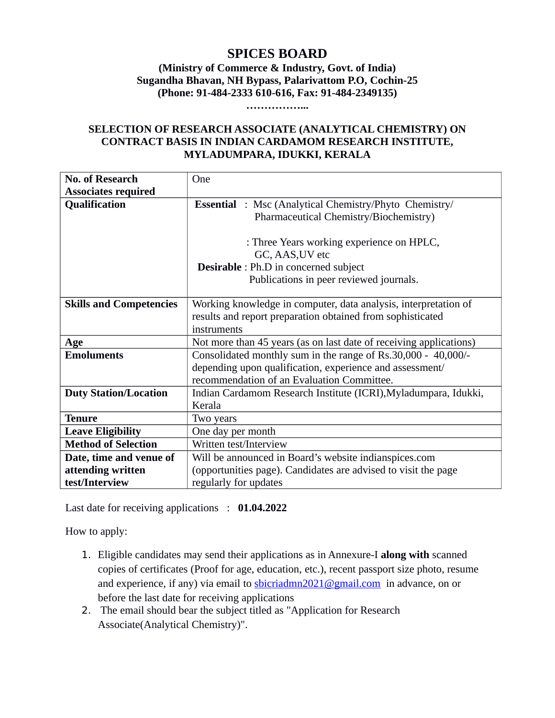# **SPICES BOARD**

**(Ministry of Commerce & Industry, Govt. of India) Sugandha Bhavan, NH Bypass, Palarivattom P.O, Cochin-25 (Phone: 91-484-2333 610-616, Fax: 91-484-2349135)**

**……………...**

#### **SELECTION OF RESEARCH ASSOCIATE (ANALYTICAL CHEMISTRY) ON CONTRACT BASIS IN INDIAN CARDAMOM RESEARCH INSTITUTE, MYLADUMPARA, IDUKKI, KERALA**

| <b>No. of Research</b>         | One                                                                |  |  |  |  |  |  |
|--------------------------------|--------------------------------------------------------------------|--|--|--|--|--|--|
| <b>Associates required</b>     |                                                                    |  |  |  |  |  |  |
| <b>Qualification</b>           | <b>Essential</b> : Msc (Analytical Chemistry/Phyto Chemistry/      |  |  |  |  |  |  |
|                                | Pharmaceutical Chemistry/Biochemistry)                             |  |  |  |  |  |  |
|                                |                                                                    |  |  |  |  |  |  |
|                                | : Three Years working experience on HPLC,                          |  |  |  |  |  |  |
|                                | GC, AAS, UV etc                                                    |  |  |  |  |  |  |
|                                | <b>Desirable</b> : Ph.D in concerned subject                       |  |  |  |  |  |  |
|                                | Publications in peer reviewed journals.                            |  |  |  |  |  |  |
|                                |                                                                    |  |  |  |  |  |  |
| <b>Skills and Competencies</b> | Working knowledge in computer, data analysis, interpretation of    |  |  |  |  |  |  |
|                                | results and report preparation obtained from sophisticated         |  |  |  |  |  |  |
|                                | instruments                                                        |  |  |  |  |  |  |
| Age                            | Not more than 45 years (as on last date of receiving applications) |  |  |  |  |  |  |
| <b>Emoluments</b>              | Consolidated monthly sum in the range of Rs.30,000 - 40,000/-      |  |  |  |  |  |  |
|                                | depending upon qualification, experience and assessment/           |  |  |  |  |  |  |
|                                | recommendation of an Evaluation Committee.                         |  |  |  |  |  |  |
| <b>Duty Station/Location</b>   | Indian Cardamom Research Institute (ICRI), Myladumpara, Idukki,    |  |  |  |  |  |  |
|                                | Kerala                                                             |  |  |  |  |  |  |
| Tenure                         | Two years                                                          |  |  |  |  |  |  |
| <b>Leave Eligibility</b>       | One day per month                                                  |  |  |  |  |  |  |
| <b>Method of Selection</b>     | Written test/Interview                                             |  |  |  |  |  |  |
| Date, time and venue of        | Will be announced in Board's website indianspices.com              |  |  |  |  |  |  |
| attending written              | (opportunities page). Candidates are advised to visit the page     |  |  |  |  |  |  |
| test/Interview                 | regularly for updates                                              |  |  |  |  |  |  |

Last date for receiving applications : **01.04.2022**

How to apply:

- 1. Eligible candidates may send their applications as in Annexure-I **along with** scanned copies of certificates (Proof for age, education, etc.), recent passport size photo, resume and experience, if any) via email to  $\frac{\text{bicriadmn2021}\textcircled{a}}{\text{gmail.com}}$  in advance, on or before the last date for receiving applications
- 2. The email should bear the subject titled as "Application for Research Associate(Analytical Chemistry)".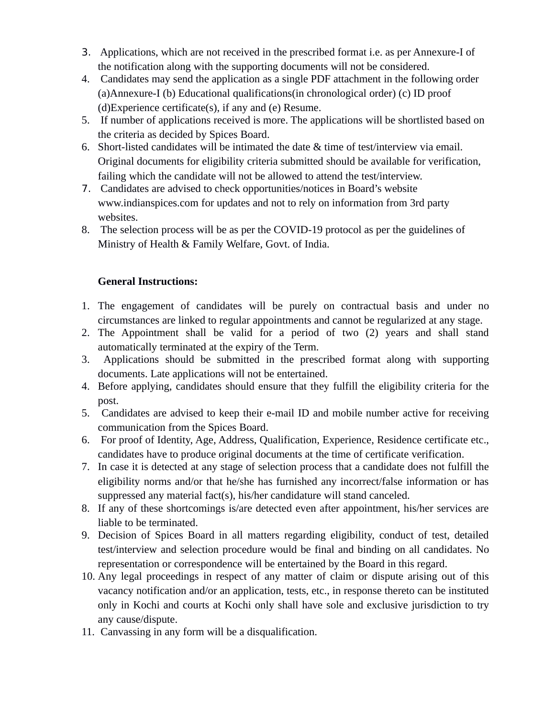- 3. Applications, which are not received in the prescribed format i.e. as per Annexure-I of the notification along with the supporting documents will not be considered.
- 4. Candidates may send the application as a single PDF attachment in the following order (a)Annexure-I (b) Educational qualifications(in chronological order) (c) ID proof (d)Experience certificate(s), if any and (e) Resume.
- 5. If number of applications received is more. The applications will be shortlisted based on the criteria as decided by Spices Board.
- 6. Short-listed candidates will be intimated the date & time of test/interview via email. Original documents for eligibility criteria submitted should be available for verification, failing which the candidate will not be allowed to attend the test/interview.
- 7. Candidates are advised to check opportunities/notices in Board's website www.indianspices.com for updates and not to rely on information from 3rd party websites.
- 8. The selection process will be as per the COVID-19 protocol as per the guidelines of Ministry of Health & Family Welfare, Govt. of India.

# **General Instructions:**

- 1. The engagement of candidates will be purely on contractual basis and under no circumstances are linked to regular appointments and cannot be regularized at any stage.
- 2. The Appointment shall be valid for a period of two (2) years and shall stand automatically terminated at the expiry of the Term.
- 3. Applications should be submitted in the prescribed format along with supporting documents. Late applications will not be entertained.
- 4. Before applying, candidates should ensure that they fulfill the eligibility criteria for the post.
- 5. Candidates are advised to keep their e-mail ID and mobile number active for receiving communication from the Spices Board.
- 6. For proof of Identity, Age, Address, Qualification, Experience, Residence certificate etc., candidates have to produce original documents at the time of certificate verification.
- 7. In case it is detected at any stage of selection process that a candidate does not fulfill the eligibility norms and/or that he/she has furnished any incorrect/false information or has suppressed any material fact(s), his/her candidature will stand canceled.
- 8. If any of these shortcomings is/are detected even after appointment, his/her services are liable to be terminated.
- 9. Decision of Spices Board in all matters regarding eligibility, conduct of test, detailed test/interview and selection procedure would be final and binding on all candidates. No representation or correspondence will be entertained by the Board in this regard.
- 10. Any legal proceedings in respect of any matter of claim or dispute arising out of this vacancy notification and/or an application, tests, etc., in response thereto can be instituted only in Kochi and courts at Kochi only shall have sole and exclusive jurisdiction to try any cause/dispute.
- 11. Canvassing in any form will be a disqualification.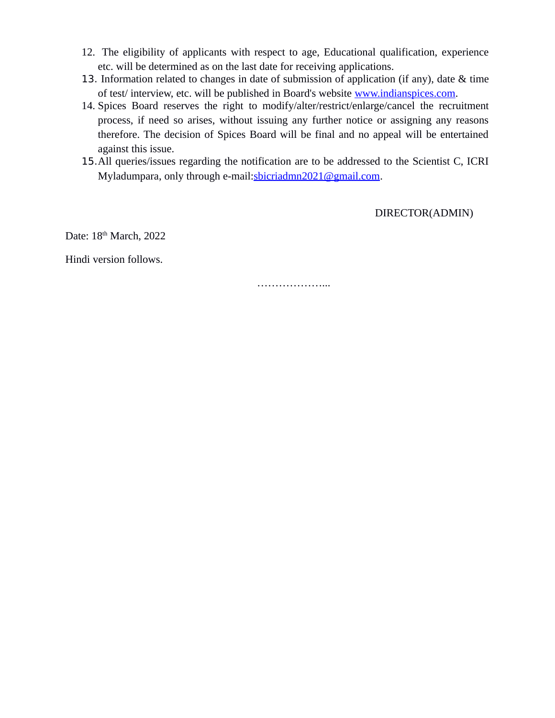- 12. The eligibility of applicants with respect to age, Educational qualification, experience etc. will be determined as on the last date for receiving applications.
- 13. Information related to changes in date of submission of application (if any), date & time of test/ interview, etc. will be published in Board's website www.indianspices.com.
- 14. Spices Board reserves the right to modify/alter/restrict/enlarge/cancel the recruitment process, if need so arises, without issuing any further notice or assigning any reasons therefore. The decision of Spices Board will be final and no appeal will be entertained against this issue.
- 15.All queries/issues regarding the notification are to be addressed to the Scientist C, ICRI Myladumpara, only through e-mail:sbicriadmn2021@gmail.com.

DIRECTOR(ADMIN)

Date: 18<sup>th</sup> March, 2022

Hindi version follows.

………………...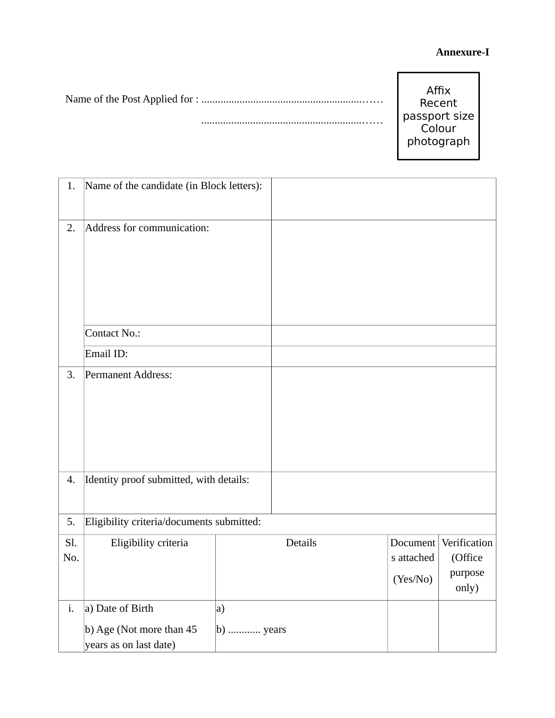# **Annexure-I**

| Affix<br>Recent<br>passport size<br>Colour<br>photograph |
|----------------------------------------------------------|
|                                                          |

| 1.         | Name of the candidate (in Block letters):                              |                         |         |                        |                                                      |
|------------|------------------------------------------------------------------------|-------------------------|---------|------------------------|------------------------------------------------------|
| 2.         | Address for communication:                                             |                         |         |                        |                                                      |
|            | <b>Contact No.:</b>                                                    |                         |         |                        |                                                      |
|            | Email ID:                                                              |                         |         |                        |                                                      |
| 3.<br>4.   | Permanent Address:<br>Identity proof submitted, with details:          |                         |         |                        |                                                      |
|            |                                                                        |                         |         |                        |                                                      |
| 5.         | Eligibility criteria/documents submitted:                              |                         |         |                        |                                                      |
| Sl.<br>No. | Eligibility criteria                                                   |                         | Details | s attached<br>(Yes/No) | Document Verification<br>(Office<br>purpose<br>only) |
| i.         | a) Date of Birth<br>b) Age (Not more than 45<br>years as on last date) | a)<br>$\vert$ b)  years |         |                        |                                                      |